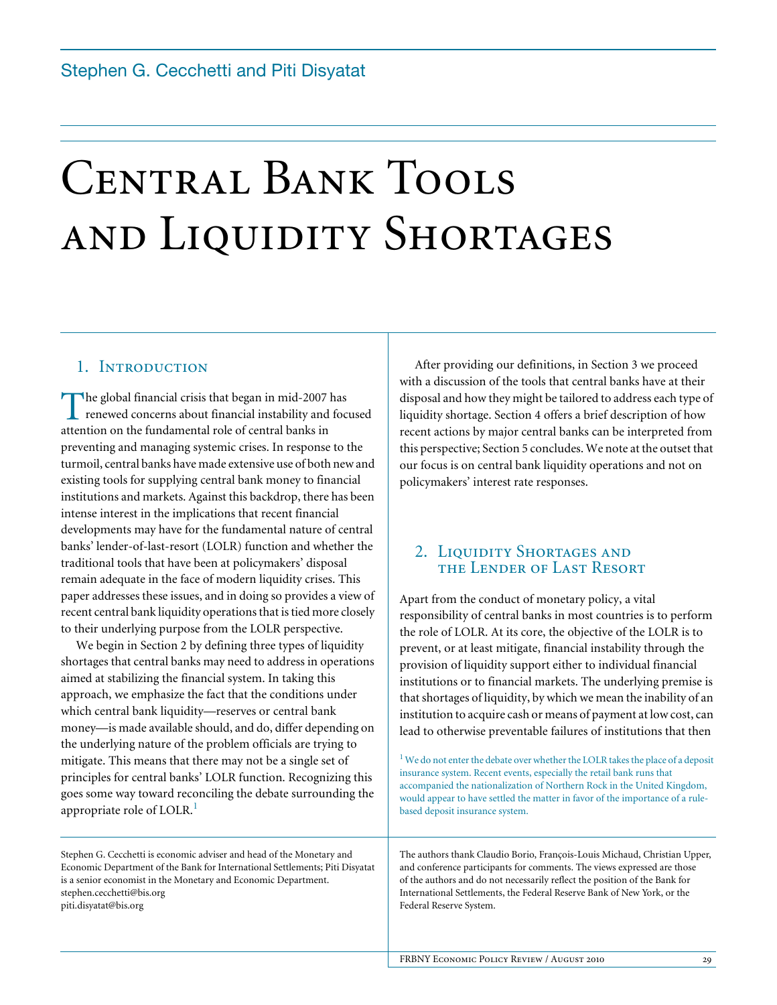# CENTRAL BANK TOOLS and Liquidity Shortages

# 1. INTRODUCTION

The global financial crisis that began in mid-2007 has renewed concerns about financial instability and focused The global financial crisis that began in mid-2007 | renewed concerns about financial instability and attention on the fundamental role of central banks in preventing and managing systemic crises. In response to the turmoil, central banks have made extensive use of both new and existing tools for supplying central bank money to financial institutions and markets. Against this backdrop, there has been intense interest in the implications that recent financial developments may have for the fundamental nature of central banks' lender-of-last-resort (LOLR) function and whether the traditional tools that have been at policymakers' disposal remain adequate in the face of modern liquidity crises. This paper addresses these issues, and in doing so provides a view of recent central bank liquidity operations that is tied more closely to their underlying purpose from the LOLR perspective.

We begin in Section 2 by defining three types of liquidity shortages that central banks may need to address in operations aimed at stabilizing the financial system. In taking this approach, we emphasize the fact that the conditions under which central bank liquidity—reserves or central bank money—is made available should, and do, differ depending on the underlying nature of the problem officials are trying to mitigate. This means that there may not be a single set of principles for central banks' LOLR function. Recognizing this goes some way toward reconciling the debate surrounding the appropriate role of LOLR.<sup>1</sup>

Stephen G. Cecchetti is economic adviser and head of the Monetary and Economic Department of the Bank for International Settlements; Piti Disyatat is a senior economist in the Monetary and Economic Department. [stephen.cecchetti@bis.org](mailto:stephen.cecchetti@bis.org) piti.disyatat@bis.org

After providing our definitions, in Section 3 we proceed with a discussion of the tools that central banks have at their disposal and how they might be tailored to address each type of liquidity shortage. Section 4 offers a brief description of how recent actions by major central banks can be interpreted from this perspective; Section 5 concludes. We note at the outset that our focus is on central bank liquidity operations and not on policymakers' interest rate responses.

# 2. LIQUIDITY SHORTAGES AND the Lender of Last Resort

Apart from the conduct of monetary policy, a vital responsibility of central banks in most countries is to perform the role of LOLR. At its core, the objective of the LOLR is to prevent, or at least mitigate, financial instability through the provision of liquidity support either to individual financial institutions or to financial markets. The underlying premise is that shortages of liquidity, by which we mean the inability of an institution to acquire cash or means of payment at low cost, can lead to otherwise preventable failures of institutions that then

 $1$  We do not enter the debate over whether the LOLR takes the place of a deposit insurance system. Recent events, especially the retail bank runs that accompanied the nationalization of Northern Rock in the United Kingdom, would appear to have settled the matter in favor of the importance of a rulebased deposit insurance system.

The authors thank Claudio Borio, François-Louis Michaud, Christian Upper, and conference participants for comments. The views expressed are those of the authors and do not necessarily reflect the position of the Bank for International Settlements, the Federal Reserve Bank of New York, or the Federal Reserve System.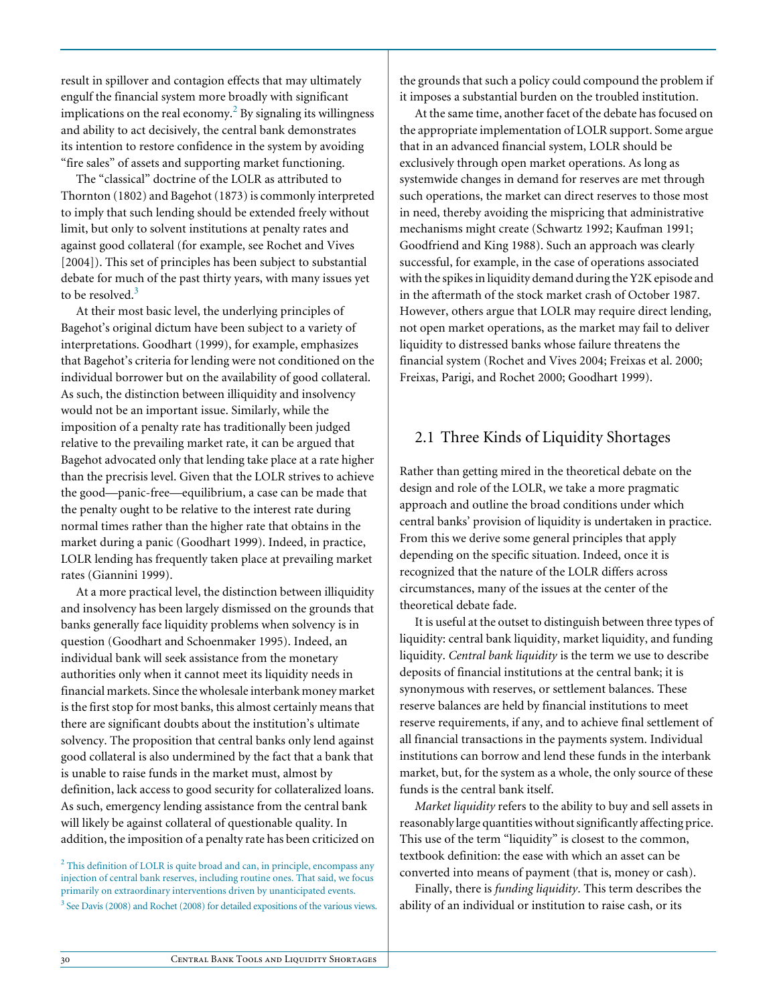result in spillover and contagion effects that may ultimately engulf the financial system more broadly with significant implications on the real economy. $^2$  By signaling its willingness and ability to act decisively, the central bank demonstrates its intention to restore confidence in the system by avoiding "fire sales" of assets and supporting market functioning.

The "classical" doctrine of the LOLR as attributed to Thornton (1802) and Bagehot (1873) is commonly interpreted to imply that such lending should be extended freely without limit, but only to solvent institutions at penalty rates and against good collateral (for example, see Rochet and Vives [2004]). This set of principles has been subject to substantial debate for much of the past thirty years, with many issues yet to be resolved. $3$ 

At their most basic level, the underlying principles of Bagehot's original dictum have been subject to a variety of interpretations. Goodhart (1999), for example, emphasizes that Bagehot's criteria for lending were not conditioned on the individual borrower but on the availability of good collateral. As such, the distinction between illiquidity and insolvency would not be an important issue. Similarly, while the imposition of a penalty rate has traditionally been judged relative to the prevailing market rate, it can be argued that Bagehot advocated only that lending take place at a rate higher than the precrisis level. Given that the LOLR strives to achieve the good—panic-free—equilibrium, a case can be made that the penalty ought to be relative to the interest rate during normal times rather than the higher rate that obtains in the market during a panic (Goodhart 1999). Indeed, in practice, LOLR lending has frequently taken place at prevailing market rates (Giannini 1999).

At a more practical level, the distinction between illiquidity and insolvency has been largely dismissed on the grounds that banks generally face liquidity problems when solvency is in question (Goodhart and Schoenmaker 1995). Indeed, an individual bank will seek assistance from the monetary authorities only when it cannot meet its liquidity needs in financial markets. Since the wholesale interbank money market is the first stop for most banks, this almost certainly means that there are significant doubts about the institution's ultimate solvency. The proposition that central banks only lend against good collateral is also undermined by the fact that a bank that is unable to raise funds in the market must, almost by definition, lack access to good security for collateralized loans. As such, emergency lending assistance from the central bank will likely be against collateral of questionable quality. In addition, the imposition of a penalty rate has been criticized on

<sup>2</sup> This definition of LOLR is quite broad and can, in principle, encompass any injection of central bank reserves, including routine ones. That said, we focus primarily on extraordinary interventions driven by unanticipated events. <sup>3</sup> See Davis (2008) and Rochet (2008) for detailed expositions of the various views.

the grounds that such a policy could compound the problem if it imposes a substantial burden on the troubled institution.

At the same time, another facet of the debate has focused on the appropriate implementation of LOLR support. Some argue that in an advanced financial system, LOLR should be exclusively through open market operations. As long as systemwide changes in demand for reserves are met through such operations, the market can direct reserves to those most in need, thereby avoiding the mispricing that administrative mechanisms might create (Schwartz 1992; Kaufman 1991; Goodfriend and King 1988). Such an approach was clearly successful, for example, in the case of operations associated with the spikes in liquidity demand during the Y2K episode and in the aftermath of the stock market crash of October 1987. However, others argue that LOLR may require direct lending, not open market operations, as the market may fail to deliver liquidity to distressed banks whose failure threatens the financial system (Rochet and Vives 2004; Freixas et al. 2000; Freixas, Parigi, and Rochet 2000; Goodhart 1999).

# 2.1 Three Kinds of Liquidity Shortages

Rather than getting mired in the theoretical debate on the design and role of the LOLR, we take a more pragmatic approach and outline the broad conditions under which central banks' provision of liquidity is undertaken in practice. From this we derive some general principles that apply depending on the specific situation. Indeed, once it is recognized that the nature of the LOLR differs across circumstances, many of the issues at the center of the theoretical debate fade.

It is useful at the outset to distinguish between three types of liquidity: central bank liquidity, market liquidity, and funding liquidity. *Central bank liquidity* is the term we use to describe deposits of financial institutions at the central bank; it is synonymous with reserves, or settlement balances. These reserve balances are held by financial institutions to meet reserve requirements, if any, and to achieve final settlement of all financial transactions in the payments system. Individual institutions can borrow and lend these funds in the interbank market, but, for the system as a whole, the only source of these funds is the central bank itself.

*Market liquidity* refers to the ability to buy and sell assets in reasonably large quantities without significantly affecting price. This use of the term "liquidity" is closest to the common, textbook definition: the ease with which an asset can be converted into means of payment (that is, money or cash).

Finally, there is *funding liquidity*. This term describes the ability of an individual or institution to raise cash, or its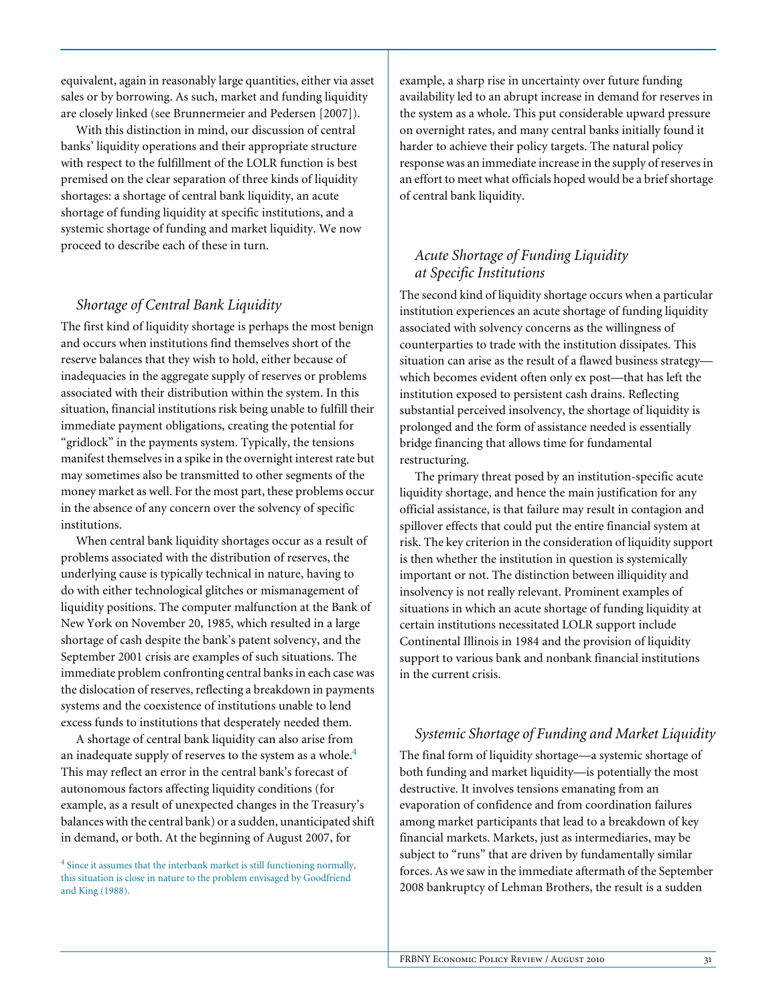equivalent, again in reasonably large quantities, either via asset sales or by borrowing. As such, market and funding liquidity are closely linked (see Brunnermeier and Pedersen [2007]).

With this distinction in mind, our discussion of central banks' liquidity operations and their appropriate structure with respect to the fulfillment of the LOLR function is best premised on the clear separation of three kinds of liquidity shortages: a shortage of central bank liquidity, an acute shortage of funding liquidity at specific institutions, and a systemic shortage of funding and market liquidity. We now proceed to describe each of these in turn.

# *Shortage of Central Bank Liquidity*

The first kind of liquidity shortage is perhaps the most benign and occurs when institutions find themselves short of the reserve balances that they wish to hold, either because of inadequacies in the aggregate supply of reserves or problems associated with their distribution within the system. In this situation, financial institutions risk being unable to fulfill their immediate payment obligations, creating the potential for "gridlock" in the payments system. Typically, the tensions manifest themselves in a spike in the overnight interest rate but may sometimes also be transmitted to other segments of the money market as well. For the most part, these problems occur in the absence of any concern over the solvency of specific institutions.

When central bank liquidity shortages occur as a result of problems associated with the distribution of reserves, the underlying cause is typically technical in nature, having to do with either technological glitches or mismanagement of liquidity positions. The computer malfunction at the Bank of New York on November 20, 1985, which resulted in a large shortage of cash despite the bank's patent solvency, and the September 2001 crisis are examples of such situations. The immediate problem confronting central banks in each case was the dislocation of reserves, reflecting a breakdown in payments systems and the coexistence of institutions unable to lend excess funds to institutions that desperately needed them.

A shortage of central bank liquidity can also arise from an inadequate supply of reserves to the system as a whole.<sup>4</sup> This may reflect an error in the central bank's forecast of autonomous factors affecting liquidity conditions (for example, as a result of unexpected changes in the Treasury's balances with the central bank) or a sudden, unanticipated shift in demand, or both. At the beginning of August 2007, for

example, a sharp rise in uncertainty over future funding availability led to an abrupt increase in demand for reserves in the system as a whole. This put considerable upward pressure on overnight rates, and many central banks initially found it harder to achieve their policy targets. The natural policy response was an immediate increase in the supply of reserves in an effort to meet what officials hoped would be a brief shortage of central bank liquidity.

# *Acute Shortage of Funding Liquidity at Specific Institutions*

The second kind of liquidity shortage occurs when a particular institution experiences an acute shortage of funding liquidity associated with solvency concerns as the willingness of counterparties to trade with the institution dissipates. This situation can arise as the result of a flawed business strategy which becomes evident often only ex post—that has left the institution exposed to persistent cash drains. Reflecting substantial perceived insolvency, the shortage of liquidity is prolonged and the form of assistance needed is essentially bridge financing that allows time for fundamental restructuring.

The primary threat posed by an institution-specific acute liquidity shortage, and hence the main justification for any official assistance, is that failure may result in contagion and spillover effects that could put the entire financial system at risk. The key criterion in the consideration of liquidity support is then whether the institution in question is systemically important or not. The distinction between illiquidity and insolvency is not really relevant. Prominent examples of situations in which an acute shortage of funding liquidity at certain institutions necessitated LOLR support include Continental Illinois in 1984 and the provision of liquidity support to various bank and nonbank financial institutions in the current crisis.

## *Systemic Shortage of Funding and Market Liquidity*

The final form of liquidity shortage—a systemic shortage of both funding and market liquidity—is potentially the most destructive. It involves tensions emanating from an evaporation of confidence and from coordination failures among market participants that lead to a breakdown of key financial markets. Markets, just as intermediaries, may be subject to "runs" that are driven by fundamentally similar forces. As we saw in the immediate aftermath of the September 2008 bankruptcy of Lehman Brothers, the result is a sudden

<sup>&</sup>lt;sup>4</sup> Since it assumes that the interbank market is still functioning normally, this situation is close in nature to the problem envisaged by Goodfriend and King (1988).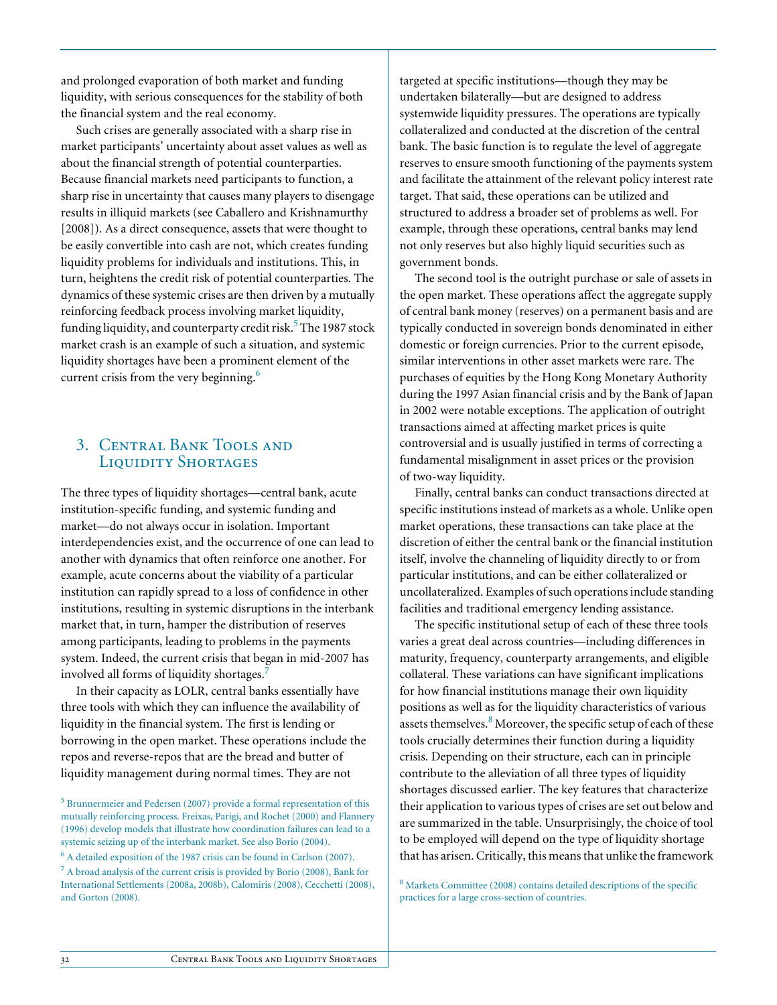and prolonged evaporation of both market and funding liquidity, with serious consequences for the stability of both the financial system and the real economy.

Such crises are generally associated with a sharp rise in market participants' uncertainty about asset values as well as about the financial strength of potential counterparties. Because financial markets need participants to function, a sharp rise in uncertainty that causes many players to disengage results in illiquid markets (see Caballero and Krishnamurthy [2008]). As a direct consequence, assets that were thought to be easily convertible into cash are not, which creates funding liquidity problems for individuals and institutions. This, in turn, heightens the credit risk of potential counterparties. The dynamics of these systemic crises are then driven by a mutually reinforcing feedback process involving market liquidity, funding liquidity, and counterparty credit risk.<sup>5</sup> The 1987 stock market crash is an example of such a situation, and systemic liquidity shortages have been a prominent element of the current crisis from the very beginning.<sup>6</sup>

# 3. Central Bank Tools and LIQUIDITY SHORTAGES

The three types of liquidity shortages—central bank, acute institution-specific funding, and systemic funding and market—do not always occur in isolation. Important interdependencies exist, and the occurrence of one can lead to another with dynamics that often reinforce one another. For example, acute concerns about the viability of a particular institution can rapidly spread to a loss of confidence in other institutions, resulting in systemic disruptions in the interbank market that, in turn, hamper the distribution of reserves among participants, leading to problems in the payments system. Indeed, the current crisis that began in mid-2007 has involved all forms of liquidity shortages.<sup>7</sup>

In their capacity as LOLR, central banks essentially have three tools with which they can influence the availability of liquidity in the financial system. The first is lending or borrowing in the open market. These operations include the repos and reverse-repos that are the bread and butter of liquidity management during normal times. They are not

targeted at specific institutions—though they may be undertaken bilaterally—but are designed to address systemwide liquidity pressures. The operations are typically collateralized and conducted at the discretion of the central bank. The basic function is to regulate the level of aggregate reserves to ensure smooth functioning of the payments system and facilitate the attainment of the relevant policy interest rate target. That said, these operations can be utilized and structured to address a broader set of problems as well. For example, through these operations, central banks may lend not only reserves but also highly liquid securities such as government bonds.

The second tool is the outright purchase or sale of assets in the open market. These operations affect the aggregate supply of central bank money (reserves) on a permanent basis and are typically conducted in sovereign bonds denominated in either domestic or foreign currencies. Prior to the current episode, similar interventions in other asset markets were rare. The purchases of equities by the Hong Kong Monetary Authority during the 1997 Asian financial crisis and by the Bank of Japan in 2002 were notable exceptions. The application of outright transactions aimed at affecting market prices is quite controversial and is usually justified in terms of correcting a fundamental misalignment in asset prices or the provision of two-way liquidity.

Finally, central banks can conduct transactions directed at specific institutions instead of markets as a whole. Unlike open market operations, these transactions can take place at the discretion of either the central bank or the financial institution itself, involve the channeling of liquidity directly to or from particular institutions, and can be either collateralized or uncollateralized. Examples of such operations include standing facilities and traditional emergency lending assistance.

The specific institutional setup of each of these three tools varies a great deal across countries—including differences in maturity, frequency, counterparty arrangements, and eligible collateral. These variations can have significant implications for how financial institutions manage their own liquidity positions as well as for the liquidity characteristics of various assets themselves. $8$  Moreover, the specific setup of each of these tools crucially determines their function during a liquidity crisis. Depending on their structure, each can in principle contribute to the alleviation of all three types of liquidity shortages discussed earlier. The key features that characterize their application to various types of crises are set out below and are summarized in the table. Unsurprisingly, the choice of tool to be employed will depend on the type of liquidity shortage that has arisen. Critically, this means that unlike the framework

<sup>8</sup> Markets Committee (2008) contains detailed descriptions of the specific practices for a large cross-section of countries.

<sup>&</sup>lt;sup>5</sup> Brunnermeier and Pedersen (2007) provide a formal representation of this mutually reinforcing process. Freixas, Parigi, and Rochet (2000) and Flannery (1996) develop models that illustrate how coordination failures can lead to a systemic seizing up of the interbank market. See also Borio (2004).

<sup>&</sup>lt;sup>6</sup> A detailed exposition of the 1987 crisis can be found in Carlson (2007). <sup>7</sup> A broad analysis of the current crisis is provided by Borio (2008), Bank for International Settlements (2008a, 2008b), Calomiris (2008), Cecchetti (2008), and Gorton (2008).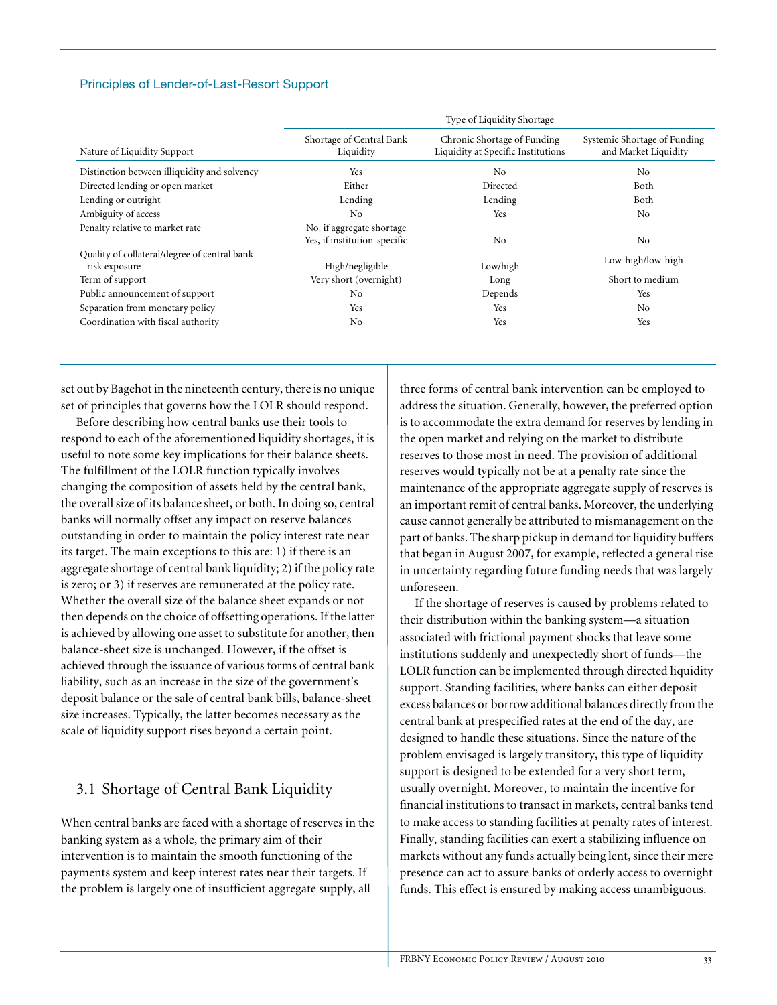### Principles of Lender-of-Last-Resort Support

|                                                               | Type of Liquidity Shortage                                |                                                                   |                                                      |
|---------------------------------------------------------------|-----------------------------------------------------------|-------------------------------------------------------------------|------------------------------------------------------|
| Nature of Liquidity Support                                   | Shortage of Central Bank<br>Liquidity                     | Chronic Shortage of Funding<br>Liquidity at Specific Institutions | Systemic Shortage of Funding<br>and Market Liquidity |
| Distinction between illiquidity and solvency                  | Yes                                                       | N <sub>0</sub>                                                    | No                                                   |
| Directed lending or open market                               | Either                                                    | Directed                                                          | Both                                                 |
| Lending or outright                                           | Lending                                                   | Lending                                                           | Both                                                 |
| Ambiguity of access                                           | N <sub>0</sub>                                            | Yes                                                               | N <sub>0</sub>                                       |
| Penalty relative to market rate                               | No, if aggregate shortage<br>Yes, if institution-specific | N <sub>0</sub>                                                    | No                                                   |
| Quality of collateral/degree of central bank<br>risk exposure | High/negligible                                           | Low/high                                                          | Low-high/low-high                                    |
| Term of support                                               | Very short (overnight)                                    | Long                                                              | Short to medium                                      |
| Public announcement of support                                | N <sub>0</sub>                                            | Depends                                                           | Yes                                                  |
| Separation from monetary policy                               | Yes                                                       | Yes                                                               | No.                                                  |
| Coordination with fiscal authority                            | N <sub>0</sub>                                            | Yes                                                               | Yes                                                  |

set out by Bagehot in the nineteenth century, there is no unique set of principles that governs how the LOLR should respond.

Before describing how central banks use their tools to respond to each of the aforementioned liquidity shortages, it is useful to note some key implications for their balance sheets. The fulfillment of the LOLR function typically involves changing the composition of assets held by the central bank, the overall size of its balance sheet, or both. In doing so, central banks will normally offset any impact on reserve balances outstanding in order to maintain the policy interest rate near its target. The main exceptions to this are: 1) if there is an aggregate shortage of central bank liquidity; 2) if the policy rate is zero; or 3) if reserves are remunerated at the policy rate. Whether the overall size of the balance sheet expands or not then depends on the choice of offsetting operations. If the latter is achieved by allowing one asset to substitute for another, then balance-sheet size is unchanged. However, if the offset is achieved through the issuance of various forms of central bank liability, such as an increase in the size of the government's deposit balance or the sale of central bank bills, balance-sheet size increases. Typically, the latter becomes necessary as the scale of liquidity support rises beyond a certain point.

# 3.1 Shortage of Central Bank Liquidity

When central banks are faced with a shortage of reserves in the banking system as a whole, the primary aim of their intervention is to maintain the smooth functioning of the payments system and keep interest rates near their targets. If the problem is largely one of insufficient aggregate supply, all

three forms of central bank intervention can be employed to address the situation. Generally, however, the preferred option is to accommodate the extra demand for reserves by lending in the open market and relying on the market to distribute reserves to those most in need. The provision of additional reserves would typically not be at a penalty rate since the maintenance of the appropriate aggregate supply of reserves is an important remit of central banks. Moreover, the underlying cause cannot generally be attributed to mismanagement on the part of banks. The sharp pickup in demand for liquidity buffers that began in August 2007, for example, reflected a general rise in uncertainty regarding future funding needs that was largely unforeseen.

If the shortage of reserves is caused by problems related to their distribution within the banking system—a situation associated with frictional payment shocks that leave some institutions suddenly and unexpectedly short of funds—the LOLR function can be implemented through directed liquidity support. Standing facilities, where banks can either deposit excess balances or borrow additional balances directly from the central bank at prespecified rates at the end of the day, are designed to handle these situations. Since the nature of the problem envisaged is largely transitory, this type of liquidity support is designed to be extended for a very short term, usually overnight. Moreover, to maintain the incentive for financial institutions to transact in markets, central banks tend to make access to standing facilities at penalty rates of interest. Finally, standing facilities can exert a stabilizing influence on markets without any funds actually being lent, since their mere presence can act to assure banks of orderly access to overnight funds. This effect is ensured by making access unambiguous.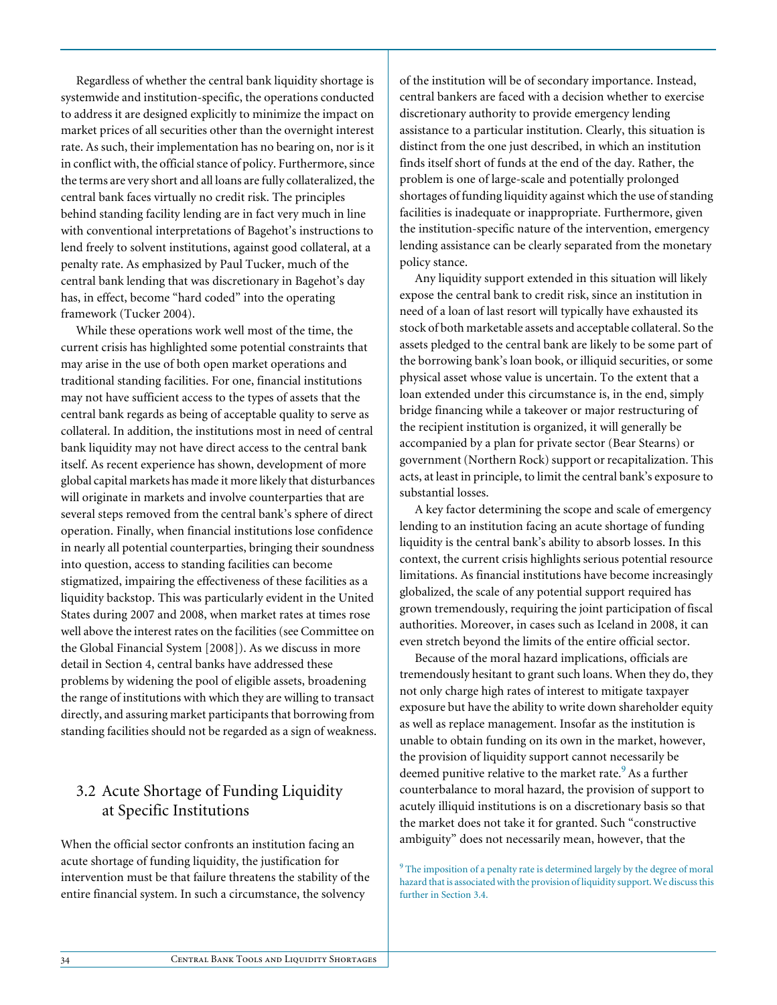Regardless of whether the central bank liquidity shortage is systemwide and institution-specific, the operations conducted to address it are designed explicitly to minimize the impact on market prices of all securities other than the overnight interest rate. As such, their implementation has no bearing on, nor is it in conflict with, the official stance of policy. Furthermore, since the terms are very short and all loans are fully collateralized, the central bank faces virtually no credit risk. The principles behind standing facility lending are in fact very much in line with conventional interpretations of Bagehot's instructions to lend freely to solvent institutions, against good collateral, at a penalty rate. As emphasized by Paul Tucker, much of the central bank lending that was discretionary in Bagehot's day has, in effect, become "hard coded" into the operating framework (Tucker 2004).

While these operations work well most of the time, the current crisis has highlighted some potential constraints that may arise in the use of both open market operations and traditional standing facilities. For one, financial institutions may not have sufficient access to the types of assets that the central bank regards as being of acceptable quality to serve as collateral. In addition, the institutions most in need of central bank liquidity may not have direct access to the central bank itself. As recent experience has shown, development of more global capital markets has made it more likely that disturbances will originate in markets and involve counterparties that are several steps removed from the central bank's sphere of direct operation. Finally, when financial institutions lose confidence in nearly all potential counterparties, bringing their soundness into question, access to standing facilities can become stigmatized, impairing the effectiveness of these facilities as a liquidity backstop. This was particularly evident in the United States during 2007 and 2008, when market rates at times rose well above the interest rates on the facilities (see Committee on the Global Financial System [2008]). As we discuss in more detail in Section 4, central banks have addressed these problems by widening the pool of eligible assets, broadening the range of institutions with which they are willing to transact directly, and assuring market participants that borrowing from standing facilities should not be regarded as a sign of weakness.

# 3.2 Acute Shortage of Funding Liquidity at Specific Institutions

When the official sector confronts an institution facing an acute shortage of funding liquidity, the justification for intervention must be that failure threatens the stability of the entire financial system. In such a circumstance, the solvency

of the institution will be of secondary importance. Instead, central bankers are faced with a decision whether to exercise discretionary authority to provide emergency lending assistance to a particular institution. Clearly, this situation is distinct from the one just described, in which an institution finds itself short of funds at the end of the day. Rather, the problem is one of large-scale and potentially prolonged shortages of funding liquidity against which the use of standing facilities is inadequate or inappropriate. Furthermore, given the institution-specific nature of the intervention, emergency lending assistance can be clearly separated from the monetary policy stance.

Any liquidity support extended in this situation will likely expose the central bank to credit risk, since an institution in need of a loan of last resort will typically have exhausted its stock of both marketable assets and acceptable collateral. So the assets pledged to the central bank are likely to be some part of the borrowing bank's loan book, or illiquid securities, or some physical asset whose value is uncertain. To the extent that a loan extended under this circumstance is, in the end, simply bridge financing while a takeover or major restructuring of the recipient institution is organized, it will generally be accompanied by a plan for private sector (Bear Stearns) or government (Northern Rock) support or recapitalization. This acts, at least in principle, to limit the central bank's exposure to substantial losses.

A key factor determining the scope and scale of emergency lending to an institution facing an acute shortage of funding liquidity is the central bank's ability to absorb losses. In this context, the current crisis highlights serious potential resource limitations. As financial institutions have become increasingly globalized, the scale of any potential support required has grown tremendously, requiring the joint participation of fiscal authorities. Moreover, in cases such as Iceland in 2008, it can even stretch beyond the limits of the entire official sector.

Because of the moral hazard implications, officials are tremendously hesitant to grant such loans. When they do, they not only charge high rates of interest to mitigate taxpayer exposure but have the ability to write down shareholder equity as well as replace management. Insofar as the institution is unable to obtain funding on its own in the market, however, the provision of liquidity support cannot necessarily be deemed punitive relative to the market rate.<sup>9</sup> As a further counterbalance to moral hazard, the provision of support to acutely illiquid institutions is on a discretionary basis so that the market does not take it for granted. Such "constructive ambiguity" does not necessarily mean, however, that the

<sup>9</sup> The imposition of a penalty rate is determined largely by the degree of moral hazard that is associated with the provision of liquidity support. We discuss this further in Section 3.4.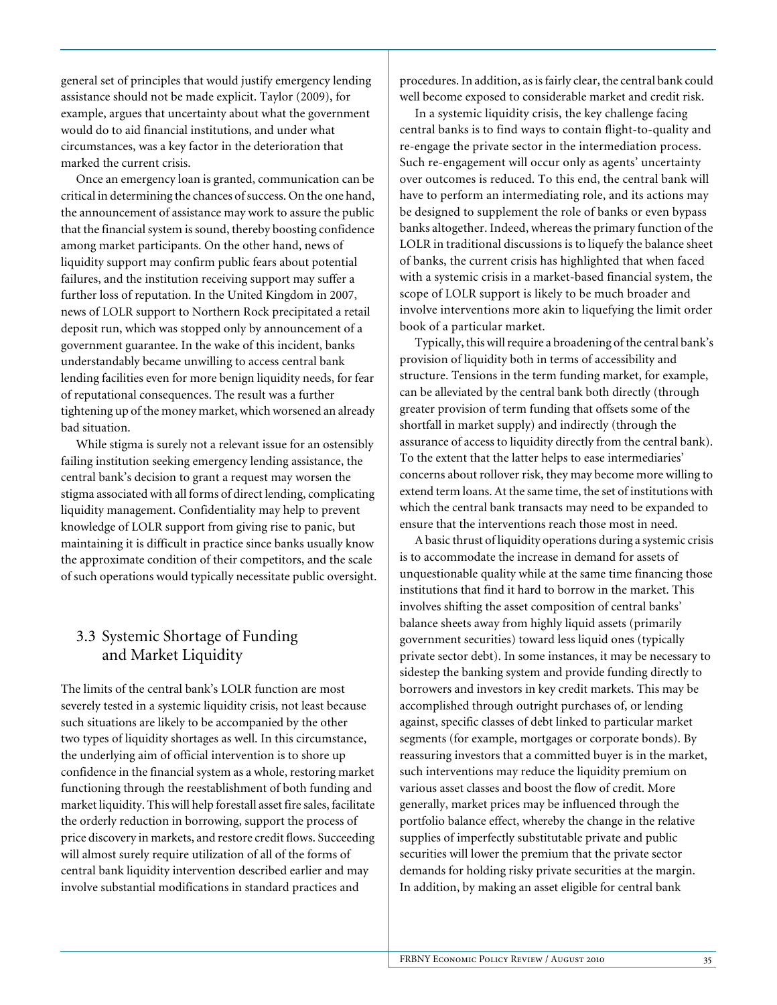general set of principles that would justify emergency lending assistance should not be made explicit. Taylor (2009), for example, argues that uncertainty about what the government would do to aid financial institutions, and under what circumstances, was a key factor in the deterioration that marked the current crisis.

Once an emergency loan is granted, communication can be critical in determining the chances of success. On the one hand, the announcement of assistance may work to assure the public that the financial system is sound, thereby boosting confidence among market participants. On the other hand, news of liquidity support may confirm public fears about potential failures, and the institution receiving support may suffer a further loss of reputation. In the United Kingdom in 2007, news of LOLR support to Northern Rock precipitated a retail deposit run, which was stopped only by announcement of a government guarantee. In the wake of this incident, banks understandably became unwilling to access central bank lending facilities even for more benign liquidity needs, for fear of reputational consequences. The result was a further tightening up of the money market, which worsened an already bad situation.

While stigma is surely not a relevant issue for an ostensibly failing institution seeking emergency lending assistance, the central bank's decision to grant a request may worsen the stigma associated with all forms of direct lending, complicating liquidity management. Confidentiality may help to prevent knowledge of LOLR support from giving rise to panic, but maintaining it is difficult in practice since banks usually know the approximate condition of their competitors, and the scale of such operations would typically necessitate public oversight.

# 3.3 Systemic Shortage of Funding and Market Liquidity

The limits of the central bank's LOLR function are most severely tested in a systemic liquidity crisis, not least because such situations are likely to be accompanied by the other two types of liquidity shortages as well. In this circumstance, the underlying aim of official intervention is to shore up confidence in the financial system as a whole, restoring market functioning through the reestablishment of both funding and market liquidity. This will help forestall asset fire sales, facilitate the orderly reduction in borrowing, support the process of price discovery in markets, and restore credit flows. Succeeding will almost surely require utilization of all of the forms of central bank liquidity intervention described earlier and may involve substantial modifications in standard practices and

procedures. In addition, as is fairly clear, the central bank could well become exposed to considerable market and credit risk.

In a systemic liquidity crisis, the key challenge facing central banks is to find ways to contain flight-to-quality and re-engage the private sector in the intermediation process. Such re-engagement will occur only as agents' uncertainty over outcomes is reduced. To this end, the central bank will have to perform an intermediating role, and its actions may be designed to supplement the role of banks or even bypass banks altogether. Indeed, whereas the primary function of the LOLR in traditional discussions is to liquefy the balance sheet of banks, the current crisis has highlighted that when faced with a systemic crisis in a market-based financial system, the scope of LOLR support is likely to be much broader and involve interventions more akin to liquefying the limit order book of a particular market.

Typically, this will require a broadening of the central bank's provision of liquidity both in terms of accessibility and structure. Tensions in the term funding market, for example, can be alleviated by the central bank both directly (through greater provision of term funding that offsets some of the shortfall in market supply) and indirectly (through the assurance of access to liquidity directly from the central bank). To the extent that the latter helps to ease intermediaries' concerns about rollover risk, they may become more willing to extend term loans. At the same time, the set of institutions with which the central bank transacts may need to be expanded to ensure that the interventions reach those most in need.

A basic thrust of liquidity operations during a systemic crisis is to accommodate the increase in demand for assets of unquestionable quality while at the same time financing those institutions that find it hard to borrow in the market. This involves shifting the asset composition of central banks' balance sheets away from highly liquid assets (primarily government securities) toward less liquid ones (typically private sector debt). In some instances, it may be necessary to sidestep the banking system and provide funding directly to borrowers and investors in key credit markets. This may be accomplished through outright purchases of, or lending against, specific classes of debt linked to particular market segments (for example, mortgages or corporate bonds). By reassuring investors that a committed buyer is in the market, such interventions may reduce the liquidity premium on various asset classes and boost the flow of credit. More generally, market prices may be influenced through the portfolio balance effect, whereby the change in the relative supplies of imperfectly substitutable private and public securities will lower the premium that the private sector demands for holding risky private securities at the margin. In addition, by making an asset eligible for central bank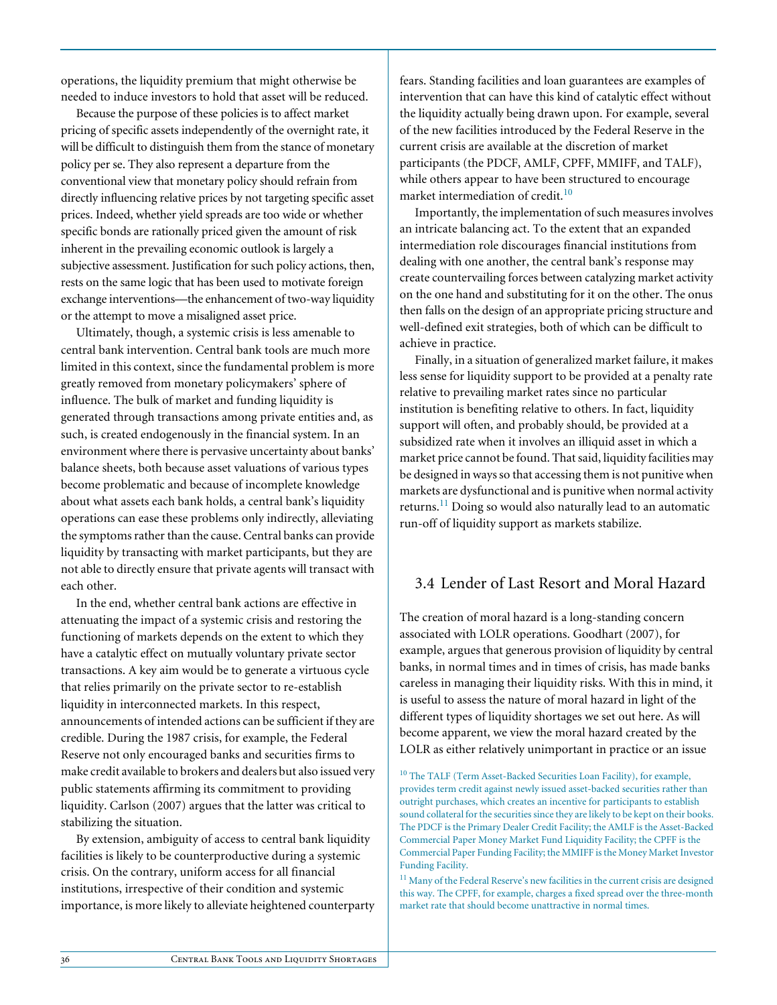operations, the liquidity premium that might otherwise be needed to induce investors to hold that asset will be reduced.

Because the purpose of these policies is to affect market pricing of specific assets independently of the overnight rate, it will be difficult to distinguish them from the stance of monetary policy per se. They also represent a departure from the conventional view that monetary policy should refrain from directly influencing relative prices by not targeting specific asset prices. Indeed, whether yield spreads are too wide or whether specific bonds are rationally priced given the amount of risk inherent in the prevailing economic outlook is largely a subjective assessment. Justification for such policy actions, then, rests on the same logic that has been used to motivate foreign exchange interventions—the enhancement of two-way liquidity or the attempt to move a misaligned asset price.

Ultimately, though, a systemic crisis is less amenable to central bank intervention. Central bank tools are much more limited in this context, since the fundamental problem is more greatly removed from monetary policymakers' sphere of influence. The bulk of market and funding liquidity is generated through transactions among private entities and, as such, is created endogenously in the financial system. In an environment where there is pervasive uncertainty about banks' balance sheets, both because asset valuations of various types become problematic and because of incomplete knowledge about what assets each bank holds, a central bank's liquidity operations can ease these problems only indirectly, alleviating the symptoms rather than the cause. Central banks can provide liquidity by transacting with market participants, but they are not able to directly ensure that private agents will transact with each other.

In the end, whether central bank actions are effective in attenuating the impact of a systemic crisis and restoring the functioning of markets depends on the extent to which they have a catalytic effect on mutually voluntary private sector transactions. A key aim would be to generate a virtuous cycle that relies primarily on the private sector to re-establish liquidity in interconnected markets. In this respect, announcements of intended actions can be sufficient if they are credible. During the 1987 crisis, for example, the Federal Reserve not only encouraged banks and securities firms to make credit available to brokers and dealers but also issued very public statements affirming its commitment to providing liquidity. Carlson (2007) argues that the latter was critical to stabilizing the situation.

By extension, ambiguity of access to central bank liquidity facilities is likely to be counterproductive during a systemic crisis. On the contrary, uniform access for all financial institutions, irrespective of their condition and systemic importance, is more likely to alleviate heightened counterparty fears. Standing facilities and loan guarantees are examples of intervention that can have this kind of catalytic effect without the liquidity actually being drawn upon. For example, several of the new facilities introduced by the Federal Reserve in the current crisis are available at the discretion of market participants (the PDCF, AMLF, CPFF, MMIFF, and TALF), while others appear to have been structured to encourage market intermediation of credit.<sup>10</sup>

Importantly, the implementation of such measures involves an intricate balancing act. To the extent that an expanded intermediation role discourages financial institutions from dealing with one another, the central bank's response may create countervailing forces between catalyzing market activity on the one hand and substituting for it on the other. The onus then falls on the design of an appropriate pricing structure and well-defined exit strategies, both of which can be difficult to achieve in practice.

Finally, in a situation of generalized market failure, it makes less sense for liquidity support to be provided at a penalty rate relative to prevailing market rates since no particular institution is benefiting relative to others. In fact, liquidity support will often, and probably should, be provided at a subsidized rate when it involves an illiquid asset in which a market price cannot be found. That said, liquidity facilities may be designed in ways so that accessing them is not punitive when markets are dysfunctional and is punitive when normal activity returns.<sup>11</sup> Doing so would also naturally lead to an automatic run-off of liquidity support as markets stabilize.

# 3.4 Lender of Last Resort and Moral Hazard

The creation of moral hazard is a long-standing concern associated with LOLR operations. Goodhart (2007), for example, argues that generous provision of liquidity by central banks, in normal times and in times of crisis, has made banks careless in managing their liquidity risks. With this in mind, it is useful to assess the nature of moral hazard in light of the different types of liquidity shortages we set out here. As will become apparent, we view the moral hazard created by the LOLR as either relatively unimportant in practice or an issue

<sup>&</sup>lt;sup>10</sup> The TALF (Term Asset-Backed Securities Loan Facility), for example, provides term credit against newly issued asset-backed securities rather than outright purchases, which creates an incentive for participants to establish sound collateral for the securities since they are likely to be kept on their books. The PDCF is the Primary Dealer Credit Facility; the AMLF is the Asset-Backed Commercial Paper Money Market Fund Liquidity Facility; the CPFF is the Commercial Paper Funding Facility; the MMIFF is the Money Market Investor Funding Facility.

<sup>&</sup>lt;sup>11</sup> Many of the Federal Reserve's new facilities in the current crisis are designed this way. The CPFF, for example, charges a fixed spread over the three-month market rate that should become unattractive in normal times.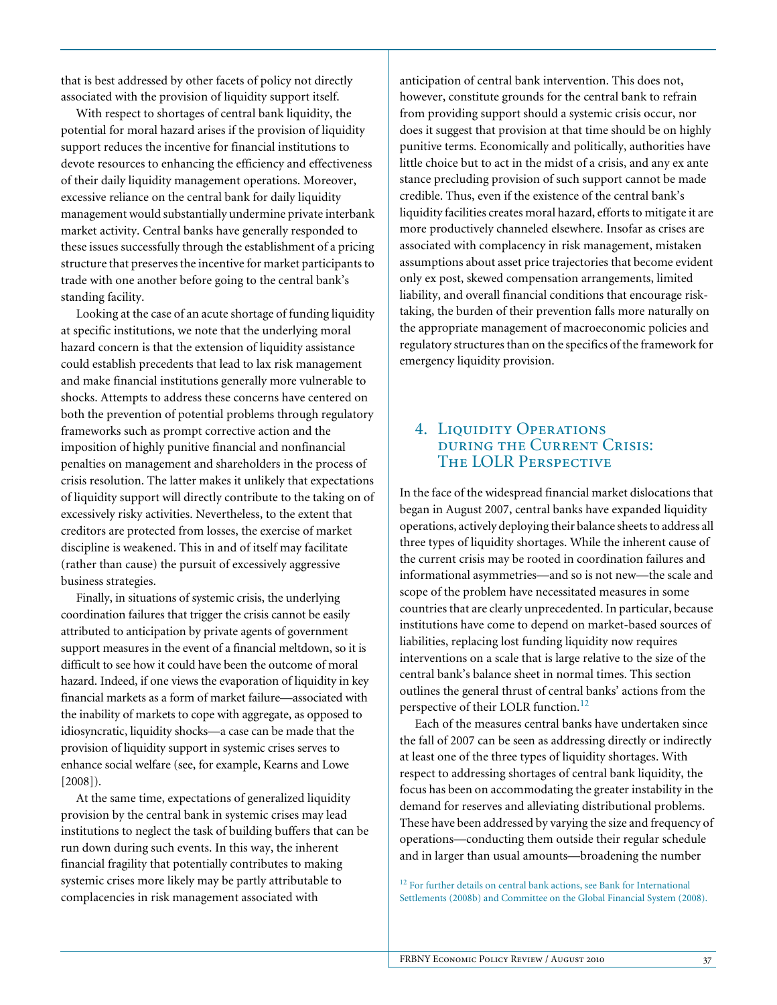that is best addressed by other facets of policy not directly associated with the provision of liquidity support itself.

With respect to shortages of central bank liquidity, the potential for moral hazard arises if the provision of liquidity support reduces the incentive for financial institutions to devote resources to enhancing the efficiency and effectiveness of their daily liquidity management operations. Moreover, excessive reliance on the central bank for daily liquidity management would substantially undermine private interbank market activity. Central banks have generally responded to these issues successfully through the establishment of a pricing structure that preserves the incentive for market participants to trade with one another before going to the central bank's standing facility.

Looking at the case of an acute shortage of funding liquidity at specific institutions, we note that the underlying moral hazard concern is that the extension of liquidity assistance could establish precedents that lead to lax risk management and make financial institutions generally more vulnerable to shocks. Attempts to address these concerns have centered on both the prevention of potential problems through regulatory frameworks such as prompt corrective action and the imposition of highly punitive financial and nonfinancial penalties on management and shareholders in the process of crisis resolution. The latter makes it unlikely that expectations of liquidity support will directly contribute to the taking on of excessively risky activities. Nevertheless, to the extent that creditors are protected from losses, the exercise of market discipline is weakened. This in and of itself may facilitate (rather than cause) the pursuit of excessively aggressive business strategies.

Finally, in situations of systemic crisis, the underlying coordination failures that trigger the crisis cannot be easily attributed to anticipation by private agents of government support measures in the event of a financial meltdown, so it is difficult to see how it could have been the outcome of moral hazard. Indeed, if one views the evaporation of liquidity in key financial markets as a form of market failure—associated with the inability of markets to cope with aggregate, as opposed to idiosyncratic, liquidity shocks—a case can be made that the provision of liquidity support in systemic crises serves to enhance social welfare (see, for example, Kearns and Lowe [2008]).

At the same time, expectations of generalized liquidity provision by the central bank in systemic crises may lead institutions to neglect the task of building buffers that can be run down during such events. In this way, the inherent financial fragility that potentially contributes to making systemic crises more likely may be partly attributable to complacencies in risk management associated with

anticipation of central bank intervention. This does not, however, constitute grounds for the central bank to refrain from providing support should a systemic crisis occur, nor does it suggest that provision at that time should be on highly punitive terms. Economically and politically, authorities have little choice but to act in the midst of a crisis, and any ex ante stance precluding provision of such support cannot be made credible. Thus, even if the existence of the central bank's liquidity facilities creates moral hazard, efforts to mitigate it are more productively channeled elsewhere. Insofar as crises are associated with complacency in risk management, mistaken assumptions about asset price trajectories that become evident only ex post, skewed compensation arrangements, limited liability, and overall financial conditions that encourage risktaking, the burden of their prevention falls more naturally on the appropriate management of macroeconomic policies and regulatory structures than on the specifics of the framework for emergency liquidity provision.

# 4. LIQUIDITY OPERATIONS during the Current Crisis: The LOLR Perspective

In the face of the widespread financial market dislocations that began in August 2007, central banks have expanded liquidity operations, actively deploying their balance sheets to address all three types of liquidity shortages. While the inherent cause of the current crisis may be rooted in coordination failures and informational asymmetries—and so is not new—the scale and scope of the problem have necessitated measures in some countries that are clearly unprecedented. In particular, because institutions have come to depend on market-based sources of liabilities, replacing lost funding liquidity now requires interventions on a scale that is large relative to the size of the central bank's balance sheet in normal times. This section outlines the general thrust of central banks' actions from the perspective of their LOLR function.<sup>12</sup>

Each of the measures central banks have undertaken since the fall of 2007 can be seen as addressing directly or indirectly at least one of the three types of liquidity shortages. With respect to addressing shortages of central bank liquidity, the focus has been on accommodating the greater instability in the demand for reserves and alleviating distributional problems. These have been addressed by varying the size and frequency of operations—conducting them outside their regular schedule and in larger than usual amounts—broadening the number

<sup>12</sup> For further details on central bank actions, see Bank for International Settlements (2008b) and Committee on the Global Financial System (2008).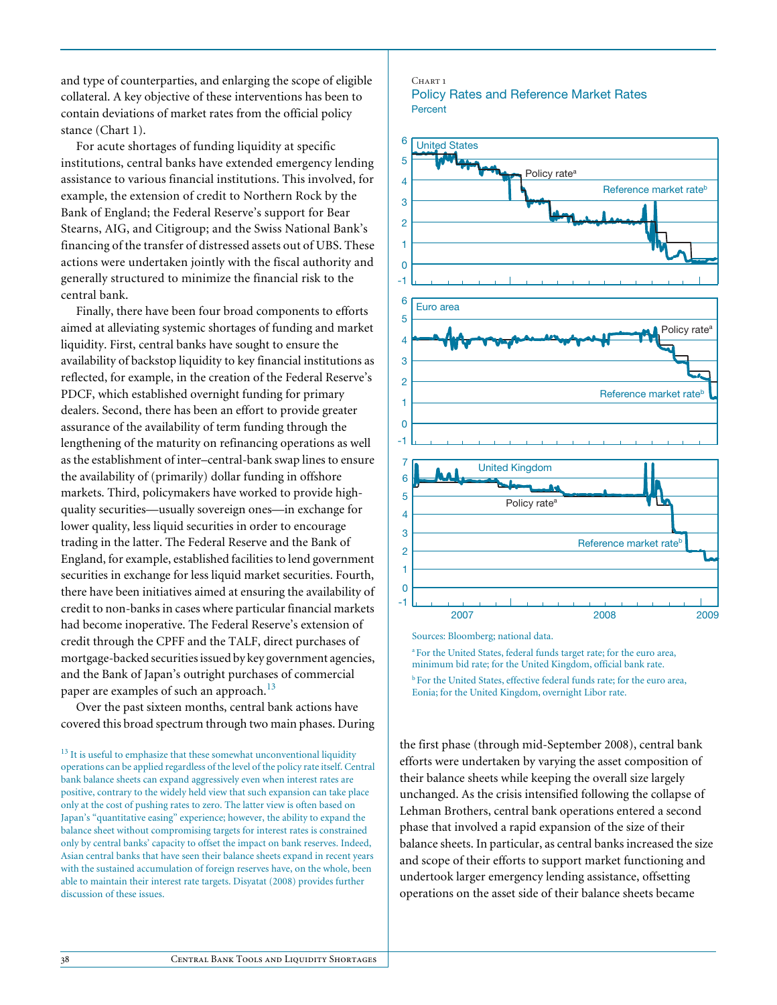and type of counterparties, and enlarging the scope of eligible collateral. A key objective of these interventions has been to contain deviations of market rates from the official policy stance (Chart 1).

For acute shortages of funding liquidity at specific institutions, central banks have extended emergency lending assistance to various financial institutions. This involved, for example, the extension of credit to Northern Rock by the Bank of England; the Federal Reserve's support for Bear Stearns, AIG, and Citigroup; and the Swiss National Bank's financing of the transfer of distressed assets out of UBS. These actions were undertaken jointly with the fiscal authority and generally structured to minimize the financial risk to the central bank.

Finally, there have been four broad components to efforts aimed at alleviating systemic shortages of funding and market liquidity. First, central banks have sought to ensure the availability of backstop liquidity to key financial institutions as reflected, for example, in the creation of the Federal Reserve's PDCF, which established overnight funding for primary dealers. Second, there has been an effort to provide greater assurance of the availability of term funding through the lengthening of the maturity on refinancing operations as well as the establishment of inter–central-bank swap lines to ensure the availability of (primarily) dollar funding in offshore markets. Third, policymakers have worked to provide highquality securities—usually sovereign ones—in exchange for lower quality, less liquid securities in order to encourage trading in the latter. The Federal Reserve and the Bank of England, for example, established facilities to lend government securities in exchange for less liquid market securities. Fourth, there have been initiatives aimed at ensuring the availability of credit to non-banks in cases where particular financial markets had become inoperative. The Federal Reserve's extension of credit through the CPFF and the TALF, direct purchases of mortgage-backed securities issued by key government agencies, and the Bank of Japan's outright purchases of commercial paper are examples of such an approach.<sup>13</sup>

Over the past sixteen months, central bank actions have covered this broad spectrum through two main phases. During

#### CHART<sub>1</sub> Policy Rates and Reference Market Rates **Percent**



Sources: Bloomberg; national data.

a For the United States, federal funds target rate; for the euro area, minimum bid rate; for the United Kingdom, official bank rate.

<sup>b</sup> For the United States, effective federal funds rate; for the euro area, Eonia; for the United Kingdom, overnight Libor rate.

the first phase (through mid-September 2008), central bank efforts were undertaken by varying the asset composition of their balance sheets while keeping the overall size largely unchanged. As the crisis intensified following the collapse of Lehman Brothers, central bank operations entered a second phase that involved a rapid expansion of the size of their balance sheets. In particular, as central banks increased the size and scope of their efforts to support market functioning and undertook larger emergency lending assistance, offsetting operations on the asset side of their balance sheets became

<sup>&</sup>lt;sup>13</sup> It is useful to emphasize that these somewhat unconventional liquidity operations can be applied regardless of the level of the policy rate itself. Central bank balance sheets can expand aggressively even when interest rates are positive, contrary to the widely held view that such expansion can take place only at the cost of pushing rates to zero. The latter view is often based on Japan's "quantitative easing" experience; however, the ability to expand the balance sheet without compromising targets for interest rates is constrained only by central banks' capacity to offset the impact on bank reserves. Indeed, Asian central banks that have seen their balance sheets expand in recent years with the sustained accumulation of foreign reserves have, on the whole, been able to maintain their interest rate targets. Disyatat (2008) provides further discussion of these issues.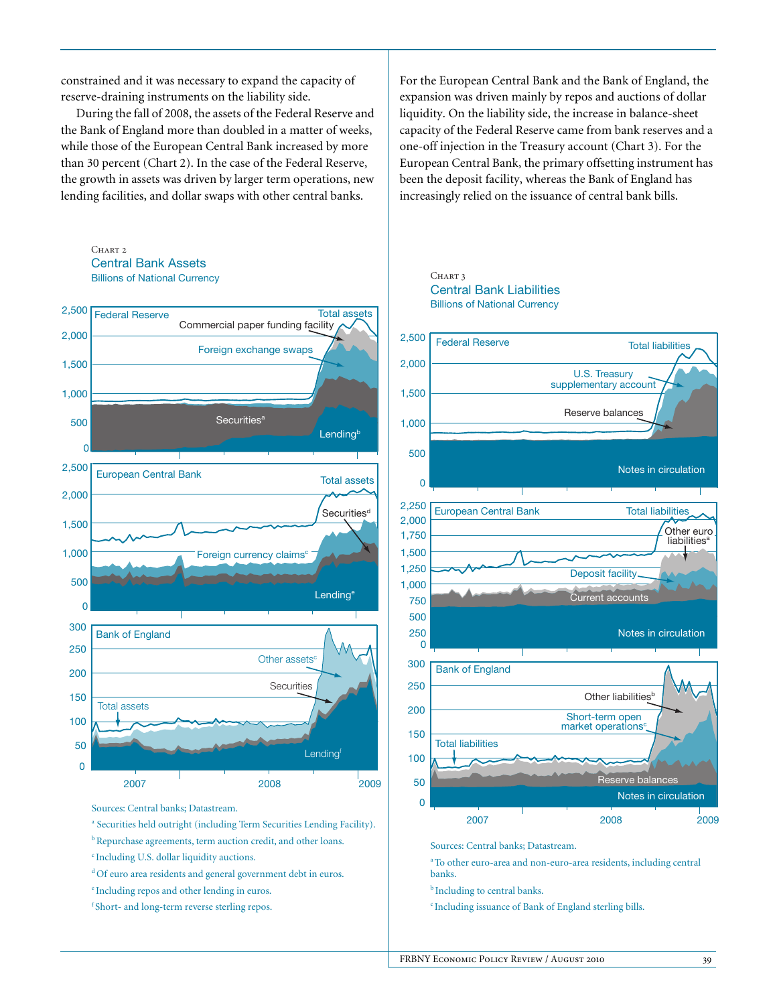constrained and it was necessary to expand the capacity of reserve-draining instruments on the liability side.

During the fall of 2008, the assets of the Federal Reserve and the Bank of England more than doubled in a matter of weeks, while those of the European Central Bank increased by more than 30 percent (Chart 2). In the case of the Federal Reserve, the growth in assets was driven by larger term operations, new lending facilities, and dollar swaps with other central banks.

### $CHART 2$ Central Bank Assets Billions of National Currency



Sources: Central banks; Datastream.

- <sup>a</sup> Securities held outright (including Term Securities Lending Facility).
- b Repurchase agreements, term auction credit, and other loans.
- c Including U.S. dollar liquidity auctions.
- <sup>d</sup>Of euro area residents and general government debt in euros.
- e Including repos and other lending in euros.
- f Short- and long-term reverse sterling repos.

For the European Central Bank and the Bank of England, the expansion was driven mainly by repos and auctions of dollar liquidity. On the liability side, the increase in balance-sheet capacity of the Federal Reserve came from bank reserves and a one-off injection in the Treasury account (Chart 3). For the European Central Bank, the primary offsetting instrument has been the deposit facility, whereas the Bank of England has increasingly relied on the issuance of central bank bills.

#### CHART 3 Central Bank Liabilities Billions of National Currency



Sources: Central banks; Datastream.

a To other euro-area and non-euro-area residents, including central banks.

- **b** Including to central banks.
- c Including issuance of Bank of England sterling bills.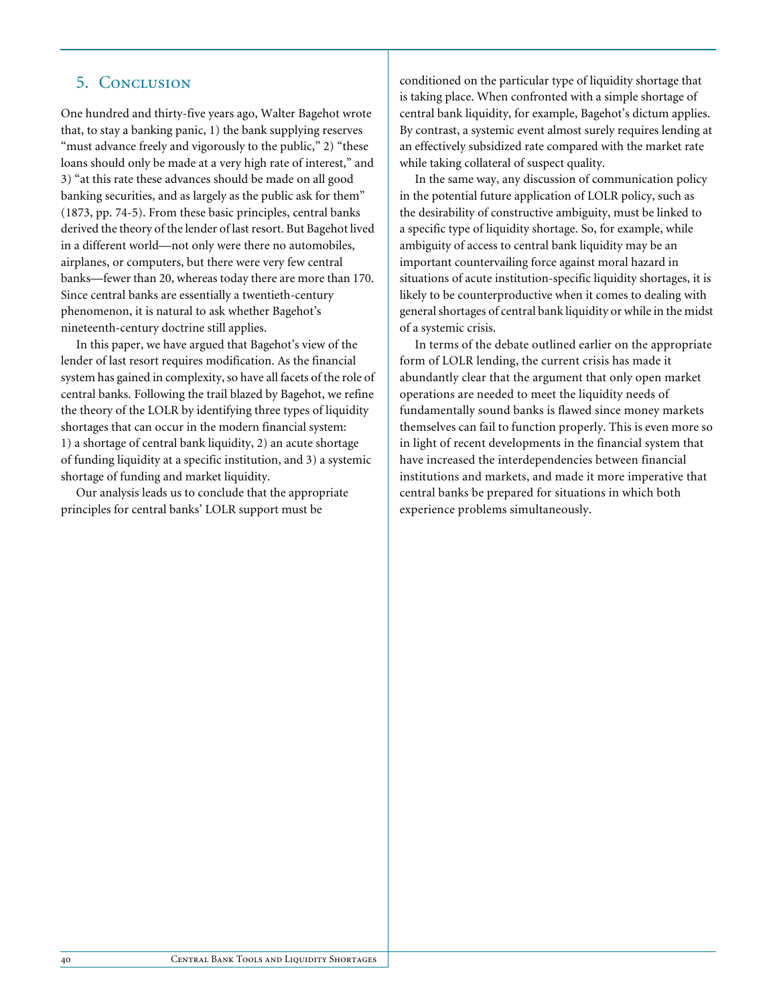# 5. Conclusion

One hundred and thirty-five years ago, Walter Bagehot wrote that, to stay a banking panic, 1) the bank supplying reserves "must advance freely and vigorously to the public," 2) "these loans should only be made at a very high rate of interest," and 3) "at this rate these advances should be made on all good banking securities, and as largely as the public ask for them" (1873, pp. 74-5). From these basic principles, central banks derived the theory of the lender of last resort. But Bagehot lived in a different world—not only were there no automobiles, airplanes, or computers, but there were very few central banks—fewer than 20, whereas today there are more than 170. Since central banks are essentially a twentieth-century phenomenon, it is natural to ask whether Bagehot's nineteenth-century doctrine still applies.

In this paper, we have argued that Bagehot's view of the lender of last resort requires modification. As the financial system has gained in complexity, so have all facets of the role of central banks. Following the trail blazed by Bagehot, we refine the theory of the LOLR by identifying three types of liquidity shortages that can occur in the modern financial system: 1) a shortage of central bank liquidity, 2) an acute shortage of funding liquidity at a specific institution, and 3) a systemic shortage of funding and market liquidity.

Our analysis leads us to conclude that the appropriate principles for central banks' LOLR support must be

conditioned on the particular type of liquidity shortage that is taking place. When confronted with a simple shortage of central bank liquidity, for example, Bagehot's dictum applies. By contrast, a systemic event almost surely requires lending at an effectively subsidized rate compared with the market rate while taking collateral of suspect quality.

In the same way, any discussion of communication policy in the potential future application of LOLR policy, such as the desirability of constructive ambiguity, must be linked to a specific type of liquidity shortage. So, for example, while ambiguity of access to central bank liquidity may be an important countervailing force against moral hazard in situations of acute institution-specific liquidity shortages, it is likely to be counterproductive when it comes to dealing with general shortages of central bank liquidity or while in the midst of a systemic crisis.

In terms of the debate outlined earlier on the appropriate form of LOLR lending, the current crisis has made it abundantly clear that the argument that only open market operations are needed to meet the liquidity needs of fundamentally sound banks is flawed since money markets themselves can fail to function properly. This is even more so in light of recent developments in the financial system that have increased the interdependencies between financial institutions and markets, and made it more imperative that central banks be prepared for situations in which both experience problems simultaneously.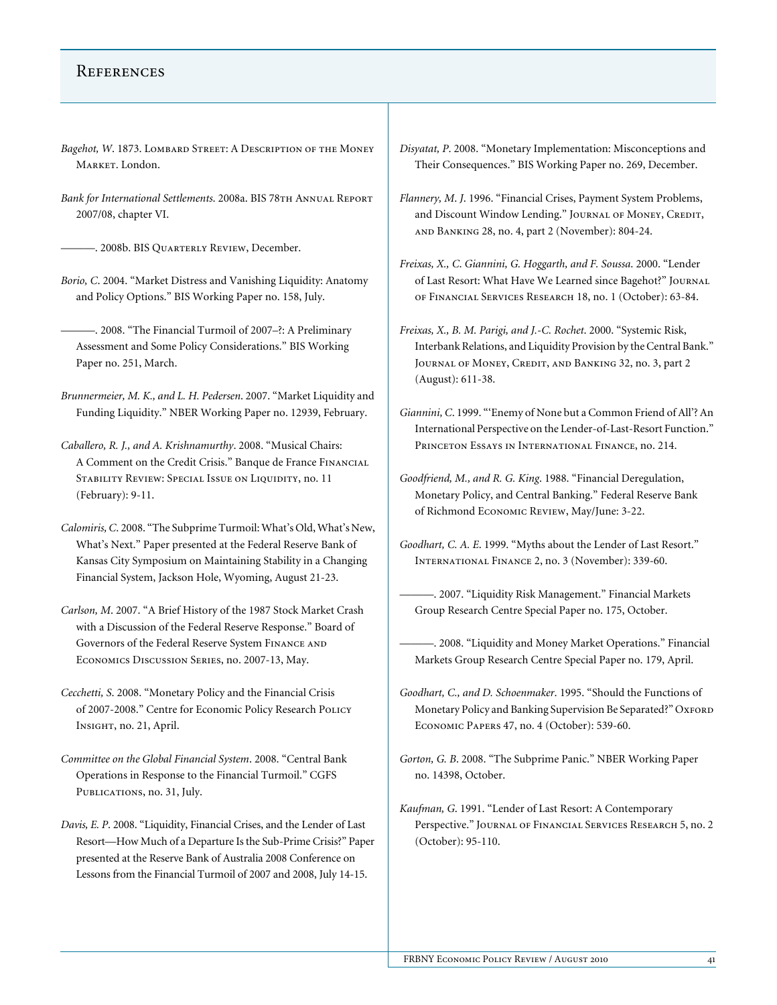## **REFERENCES**

- Bagehot, W. 1873. LOMBARD STREET: A DESCRIPTION OF THE MONEY MARKET. London.
- Bank for International Settlements. 2008a. BIS 78TH ANNUAL REPORT 2007/08, chapter VI.

———. 2008b. BIS Quarterly Review, December.

*Borio, C*. 2004. "Market Distress and Vanishing Liquidity: Anatomy and Policy Options." BIS Working Paper no. 158, July.

———. 2008. "The Financial Turmoil of 2007–?: A Preliminary Assessment and Some Policy Considerations." BIS Working Paper no. 251, March.

- *Brunnermeier, M. K., and L. H. Pedersen*. 2007. "Market Liquidity and Funding Liquidity." NBER Working Paper no. 12939, February.
- *Caballero, R. J., and A. Krishnamurthy*. 2008. "Musical Chairs: A Comment on the Credit Crisis." Banque de France Financial STABILITY REVIEW: SPECIAL ISSUE ON LIQUIDITY, no. 11 (February): 9-11.
- *Calomiris, C*. 2008. "The Subprime Turmoil: What's Old, What's New, What's Next." Paper presented at the Federal Reserve Bank of Kansas City Symposium on Maintaining Stability in a Changing Financial System, Jackson Hole, Wyoming, August 21-23.
- *Carlson, M*. 2007. "A Brief History of the 1987 Stock Market Crash with a Discussion of the Federal Reserve Response." Board of Governors of the Federal Reserve System Finance and Economics Discussion Series, no. 2007-13, May.
- *Cecchetti, S*. 2008. "Monetary Policy and the Financial Crisis of 2007-2008." Centre for Economic Policy Research Policy Insight, no. 21, April.
- *Committee on the Global Financial System*. 2008. "Central Bank Operations in Response to the Financial Turmoil." CGFS PUBLICATIONS, no. 31, July.
- *Davis, E. P*. 2008. "Liquidity, Financial Crises, and the Lender of Last Resort—How Much of a Departure Is the Sub-Prime Crisis?" Paper presented at the Reserve Bank of Australia 2008 Conference on Lessons from the Financial Turmoil of 2007 and 2008, July 14-15.
- *Disyatat, P*. 2008. "Monetary Implementation: Misconceptions and Their Consequences." BIS Working Paper no. 269, December.
- *Flannery, M*. *J*. 1996. "Financial Crises, Payment System Problems, and Discount Window Lending." JOURNAL OF MONEY, CREDIT, and Banking 28, no. 4, part 2 (November): 804-24.
- *Freixas, X., C*. *Giannini, G. Hoggarth, and F. Soussa*. 2000. "Lender of Last Resort: What Have We Learned since Bagehot?" Journal of Financial Services Research 18, no. 1 (October): 63-84.
- *Freixas, X., B. M. Parigi, and J.-C. Rochet*. 2000. "Systemic Risk, Interbank Relations, and Liquidity Provision by the Central Bank." JOURNAL OF MONEY, CREDIT, AND BANKING 32, no. 3, part 2 (August): 611-38.
- *Giannini, C*. 1999. "'Enemy of None but a Common Friend of All'? An International Perspective on the Lender-of-Last-Resort Function." Princeton Essays in International Finance, no. 214.
- *Goodfriend, M., and R. G. King*. 1988. "Financial Deregulation, Monetary Policy, and Central Banking." Federal Reserve Bank of Richmond Economic Review, May/June: 3-22.
- *Goodhart, C. A. E*. 1999. "Myths about the Lender of Last Resort." International Finance 2, no. 3 (November): 339-60.
	- ———. 2007. "Liquidity Risk Management." Financial Markets Group Research Centre Special Paper no. 175, October.
	- -. 2008. "Liquidity and Money Market Operations." Financial Markets Group Research Centre Special Paper no. 179, April.
- *Goodhart, C., and D. Schoenmaker*. 1995. "Should the Functions of Monetary Policy and Banking Supervision Be Separated?" OXFORD Economic Papers 47, no. 4 (October): 539-60.
- *Gorton, G. B*. 2008. "The Subprime Panic." NBER Working Paper no. 14398, October.
- *Kaufman, G*. 1991. "Lender of Last Resort: A Contemporary Perspective." JOURNAL OF FINANCIAL SERVICES RESEARCH 5, no. 2 (October): 95-110.